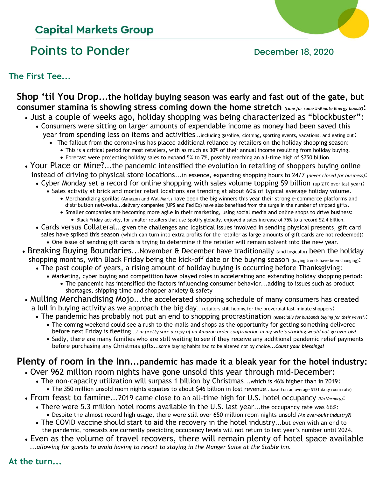## **Capital Markets Group**

# Points to Ponder **December 18, 2020**

**The First Tee...**

**Shop 'til You Drop...the holiday buying season was early and fast out of the gate, but consumer stamina is showing stress coming down the home stretch** *(time for some 5-Minute Energy boost?)***:**

- Just a couple of weeks ago, holiday shopping was being characterized as "blockbuster": • Consumers were sitting on larger amounts of expendable income as money had been saved this
	- year from spending less on items and activities...including gasoline, clothing, sporting events, vacations, and eating out:
		- The fallout from the coronavirus has placed additional reliance by retailers on the holiday shopping season:
			- This is a critical period for most retailers, with as much as 30% of their annual income resulting from holiday buying.
			- Forecast were projecting holiday sales to expand 5% to 7%, possibly reaching an all-time high of \$750 billion.
- Your Place or Mine?...the pandemic intensified the evolution in retailing of shoppers buying online instead of driving to physical store locations...in essence, expanding shopping hours to 24/7 *(never closed for business)*:
	- Cyber Monday set a record for online shopping with sales volume topping \$9 billion (up 21% over last year):
		- Sales activity at brick and mortar retail locations are trending at about 60% of typical average holiday volume. • Merchandizing gorillas (Amazon and Wal-Mart) have been the big winners this year their strong e-commerce platforms and
			- distribution networks...delivery companies (UPS and Fed Ex) have also benefited from the surge in the number of shipped gifts. • Smaller companies are becoming more agile in their marketing, using social media and online shops to drive business:
				- Black Friday activity, for smaller retailers that use Spotify globally, enjoyed a sales increase of 75% to a record \$2.4 billion.
	- Cards versus Collateral...given the challenges and logistical issues involved in sending physical presents, gift card sales have spiked this season (which can turn into extra profits for the retailer as large amounts of gift cards are not redeemed): • One issue of sending gift cards is trying to determine if the retailer will remain solvent into the new year.
- Breaking Buying Boundaries...November & December have traditionally (and logically) been the holiday shopping months, with Black Friday being the kick-off date or the buying season (buying trends have been changing):
	- The past couple of years, a rising amount of holiday buying is occurring before Thanksgiving:
		- Marketing, cyber buying and competition have played roles in accelerating and extending holiday shopping period:
			- The pandemic has intensified the factors influencing consumer behavior...adding to issues such as product shortages, shipping time and shopper anxiety & safety
- Mulling Merchandising Mojo...the accelerated shopping schedule of many consumers has created a lull in buying activity as we approach the big day...retailers still hoping for the proverbial last-minute shoppers:
	- The pandemic has probably not put an end to shopping procrastination *(especially for husbands buying for their wives!)*:
		- The coming weekend could see a rush to the malls and shops as the opportunity for getting something delivered before next Friday is fleeting...*I'm pretty sure a copy of an Amazon order confirmation in my wife's stocking would not go over big!*
		- Sadly, there are many families who are still waiting to see if they receive any additional pandemic relief payments before purchasing any Christmas gifts...some buying habits had to be altered not by choice...*Count your blessings!*

# **Plenty of room in the Inn...pandemic has made it a bleak year for the hotel industry:**

- Over 962 million room nights have gone unsold this year through mid-December:
	- The non-capacity utilization will surpass 1 billion by Christmas...which is 46% higher than in 2019: • The 350 million unsold room nights equates to about \$46 billion in lost revenue...based on an average \$131 daily room rate)
- From feast to famine...2019 came close to an all-time high for U.S. hotel occupancy *(No Vacancy)*:
	- There were 5.3 million hotel rooms available in the U.S. last year...the occupancy rate was 66%:
	- Despite the almost record high usage, there were still over 650 million room nights unsold *(An over-built industry?)* • The COVID vaccine should start to aid the recovery in the hotel industry...but even with an end to
	- the pandemic, forecasts are currently predicting occupancy levels will not return to last year's number until 2024.
- Even as the volume of travel recovers, there will remain plenty of hotel space available *...allowing for guests to avoid having to resort to staying in the Manger Suite at the Stable Inn.*

### **At the turn...**